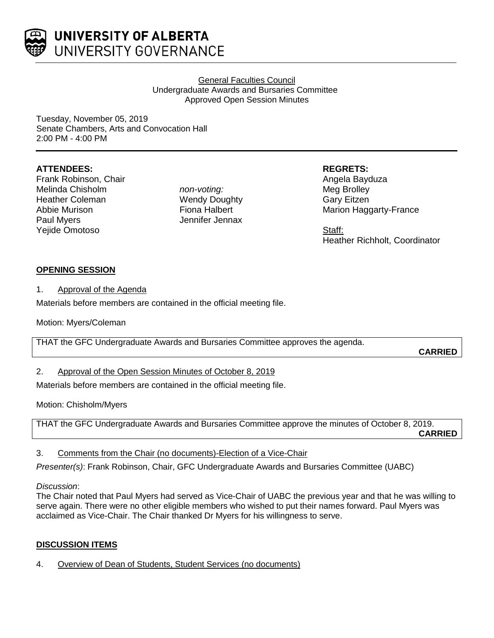

UNIVERSITY OF ALBERTA UNIVERSITY GOVERNANCE

> General Faculties Council Undergraduate Awards and Bursaries Committee Approved Open Session Minutes

Tuesday, November 05, 2019 Senate Chambers, Arts and Convocation Hall 2:00 PM - 4:00 PM

# **ATTENDEES:**

Frank Robinson, Chair Melinda Chisholm Heather Coleman Abbie Murison Paul Myers Yejide Omotoso

*non-voting:* Wendy Doughty Fiona Halbert Jennifer Jennax

### **REGRETS:**

Angela Bayduza Meg Brolley Gary Eitzen Marion Haggarty-France

Staff: Heather Richholt, Coordinator

# **OPENING SESSION**

1. Approval of the Agenda

Materials before members are contained in the official meeting file.

Motion: Myers/Coleman

THAT the GFC Undergraduate Awards and Bursaries Committee approves the agenda.

**CARRIED**

2. Approval of the Open Session Minutes of October 8, 2019

Materials before members are contained in the official meeting file.

Motion: Chisholm/Myers

THAT the GFC Undergraduate Awards and Bursaries Committee approve the minutes of October 8, 2019. **CARRIED**

## 3. Comments from the Chair (no documents)-Election of a Vice-Chair

*Presenter(s)*: Frank Robinson, Chair, GFC Undergraduate Awards and Bursaries Committee (UABC)

## *Discussion*:

The Chair noted that Paul Myers had served as Vice-Chair of UABC the previous year and that he was willing to serve again. There were no other eligible members who wished to put their names forward. Paul Myers was acclaimed as Vice-Chair. The Chair thanked Dr Myers for his willingness to serve.

# **DISCUSSION ITEMS**

4. Overview of Dean of Students, Student Services (no documents)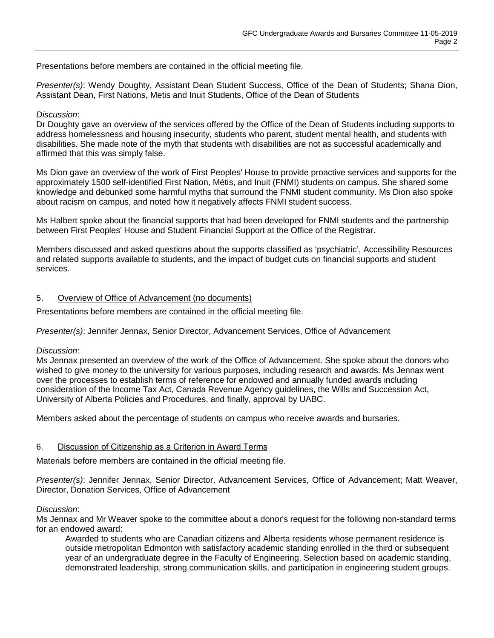Presentations before members are contained in the official meeting file.

*Presenter(s)*: Wendy Doughty, Assistant Dean Student Success, Office of the Dean of Students; Shana Dion, Assistant Dean, First Nations, Metis and Inuit Students, Office of the Dean of Students

### *Discussion*:

Dr Doughty gave an overview of the services offered by the Office of the Dean of Students including supports to address homelessness and housing insecurity, students who parent, student mental health, and students with disabilities. She made note of the myth that students with disabilities are not as successful academically and affirmed that this was simply false.

Ms Dion gave an overview of the work of First Peoples' House to provide proactive services and supports for the approximately 1500 self-identified First Nation, Métis, and Inuit (FNMI) students on campus. She shared some knowledge and debunked some harmful myths that surround the FNMI student community. Ms Dion also spoke about racism on campus, and noted how it negatively affects FNMI student success.

Ms Halbert spoke about the financial supports that had been developed for FNMI students and the partnership between First Peoples' House and Student Financial Support at the Office of the Registrar.

Members discussed and asked questions about the supports classified as 'psychiatric', Accessibility Resources and related supports available to students, and the impact of budget cuts on financial supports and student services.

### 5. Overview of Office of Advancement (no documents)

Presentations before members are contained in the official meeting file.

*Presenter(s)*: Jennifer Jennax, Senior Director, Advancement Services, Office of Advancement

#### *Discussion*:

Ms Jennax presented an overview of the work of the Office of Advancement. She spoke about the donors who wished to give money to the university for various purposes, including research and awards. Ms Jennax went over the processes to establish terms of reference for endowed and annually funded awards including consideration of the Income Tax Act, Canada Revenue Agency guidelines, the Wills and Succession Act, University of Alberta Policies and Procedures, and finally, approval by UABC.

Members asked about the percentage of students on campus who receive awards and bursaries.

## 6. Discussion of Citizenship as a Criterion in Award Terms

Materials before members are contained in the official meeting file.

*Presenter(s)*: Jennifer Jennax, Senior Director, Advancement Services, Office of Advancement; Matt Weaver, Director, Donation Services, Office of Advancement

#### *Discussion*:

Ms Jennax and Mr Weaver spoke to the committee about a donor's request for the following non-standard terms for an endowed award:

Awarded to students who are Canadian citizens and Alberta residents whose permanent residence is outside metropolitan Edmonton with satisfactory academic standing enrolled in the third or subsequent year of an undergraduate degree in the Faculty of Engineering. Selection based on academic standing, demonstrated leadership, strong communication skills, and participation in engineering student groups.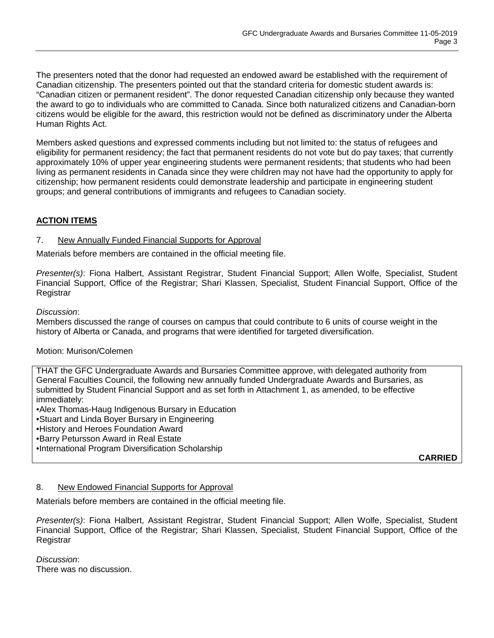The presenters noted that the donor had requested an endowed award be established with the requirement of Canadian citizenship. The presenters pointed out that the standard criteria for domestic student awards is: "Canadian citizen or permanent resident". The donor requested Canadian citizenship only because they wanted the award to go to individuals who are committed to Canada. Since both naturalized citizens and Canadian-born citizens would be eligible for the award, this restriction would not be defined as discriminatory under the Alberta Human Rights Act.

Members asked questions and expressed comments including but not limited to: the status of refugees and eligibility for permanent residency; the fact that permanent residents do not vote but do pay taxes; that currently approximately 10% of upper year engineering students were permanent residents; that students who had been living as permanent residents in Canada since they were children may not have had the opportunity to apply for citizenship; how permanent residents could demonstrate leadership and participate in engineering student groups; and general contributions of immigrants and refugees to Canadian society.

# **ACTION ITEMS**

### 7. New Annually Funded Financial Supports for Approval

Materials before members are contained in the official meeting file.

*Presenter(s)*: Fiona Halbert, Assistant Registrar, Student Financial Support; Allen Wolfe, Specialist, Student Financial Support, Office of the Registrar; Shari Klassen, Specialist, Student Financial Support, Office of the **Registrar** 

### *Discussion*:

Members discussed the range of courses on campus that could contribute to 6 units of course weight in the history of Alberta or Canada, and programs that were identified for targeted diversification.

## Motion: Murison/Colemen

THAT the GFC Undergraduate Awards and Bursaries Committee approve, with delegated authority from General Faculties Council, the following new annually funded Undergraduate Awards and Bursaries, as submitted by Student Financial Support and as set forth in Attachment 1, as amended, to be effective immediately:

•Alex Thomas-Haug Indigenous Bursary in Education

•Stuart and Linda Boyer Bursary in Engineering

•History and Heroes Foundation Award

•Barry Petursson Award in Real Estate

•International Program Diversification Scholarship

**CARRIED**

## 8. New Endowed Financial Supports for Approval

Materials before members are contained in the official meeting file.

*Presenter(s)*: Fiona Halbert, Assistant Registrar, Student Financial Support; Allen Wolfe, Specialist, Student Financial Support, Office of the Registrar; Shari Klassen, Specialist, Student Financial Support, Office of the Registrar

*Discussion*: There was no discussion.